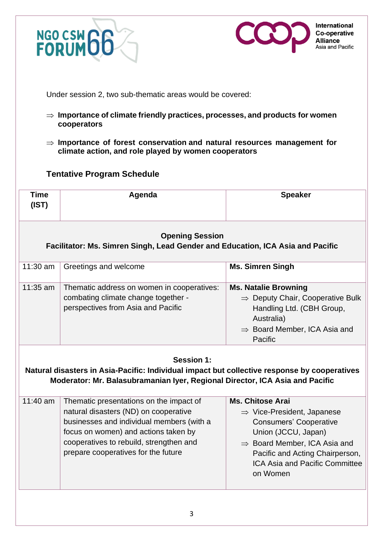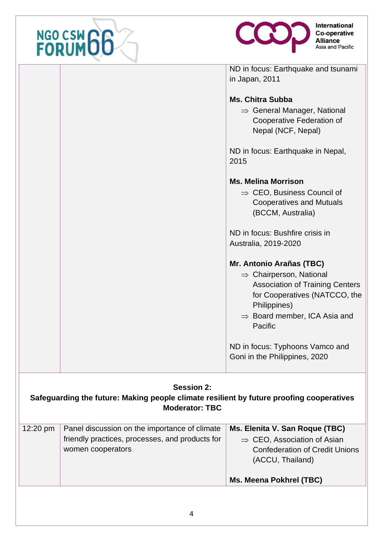|                                                                                                                                        | NGO CSW 66                                                                                                            | <b>International</b><br>CGC<br><b>Co-operative</b><br><b>Alliance</b><br>Asia and Pacific                                                                                                                         |
|----------------------------------------------------------------------------------------------------------------------------------------|-----------------------------------------------------------------------------------------------------------------------|-------------------------------------------------------------------------------------------------------------------------------------------------------------------------------------------------------------------|
|                                                                                                                                        |                                                                                                                       | ND in focus: Earthquake and tsunami<br>in Japan, 2011                                                                                                                                                             |
|                                                                                                                                        |                                                                                                                       | <b>Ms. Chitra Subba</b><br>$\Rightarrow$ General Manager, National<br>Cooperative Federation of<br>Nepal (NCF, Nepal)<br>ND in focus: Earthquake in Nepal,<br>2015                                                |
|                                                                                                                                        |                                                                                                                       | <b>Ms. Melina Morrison</b><br>$\Rightarrow$ CEO, Business Council of<br><b>Cooperatives and Mutuals</b><br>(BCCM, Australia)                                                                                      |
|                                                                                                                                        |                                                                                                                       | ND in focus: Bushfire crisis in<br>Australia, 2019-2020                                                                                                                                                           |
|                                                                                                                                        |                                                                                                                       | Mr. Antonio Arañas (TBC)<br>$\Rightarrow$ Chairperson, National<br><b>Association of Training Centers</b><br>for Cooperatives (NATCCO, the<br>Philippines)<br>$\Rightarrow$ Board member, ICA Asia and<br>Pacific |
|                                                                                                                                        |                                                                                                                       | ND in focus: Typhoons Vamco and<br>Goni in the Philippines, 2020                                                                                                                                                  |
| <b>Session 2:</b><br>Safeguarding the future: Making people climate resilient by future proofing cooperatives<br><b>Moderator: TBC</b> |                                                                                                                       |                                                                                                                                                                                                                   |
| 12:20 pm                                                                                                                               | Panel discussion on the importance of climate<br>friendly practices, processes, and products for<br>women cooperators | Ms. Elenita V. San Roque (TBC)<br>$\Rightarrow$ CEO, Association of Asian<br><b>Confederation of Credit Unions</b><br>(ACCU, Thailand)                                                                            |
|                                                                                                                                        |                                                                                                                       | Ms. Meena Pokhrel (TBC)                                                                                                                                                                                           |
|                                                                                                                                        |                                                                                                                       |                                                                                                                                                                                                                   |